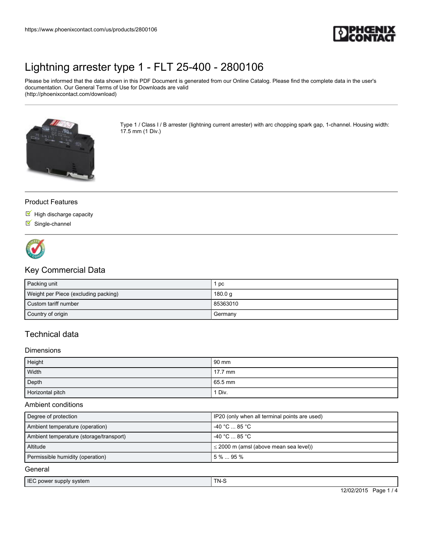

Please be informed that the data shown in this PDF Document is generated from our Online Catalog. Please find the complete data in the user's documentation. Our General Terms of Use for Downloads are valid (http://phoenixcontact.com/download)



Type 1 / Class I / B arrester (lightning current arrester) with arc chopping spark gap, 1-channel. Housing width: 17.5 mm (1 Div.)

#### Product Features

### $\blacksquare$  High discharge capacity

Single-channel



## Key Commercial Data

| Packing unit                         | рc       |
|--------------------------------------|----------|
| Weight per Piece (excluding packing) | 180.0 g  |
| Custom tariff number                 | 85363010 |
| Country of origin                    | Germany  |

## Technical data

#### **Dimensions**

| Height           | 90 mm      |
|------------------|------------|
| Width            | 17.7 mm    |
| Depth            | $165.5$ mm |
| Horizontal pitch | Div.       |

#### Ambient conditions

| Degree of protection                                                  | IP20 (only when all terminal points are used) |
|-----------------------------------------------------------------------|-----------------------------------------------|
| Ambient temperature (operation)                                       | ∣ -40 °C … 85 °C .                            |
| Ambient temperature (storage/transport)                               | $-40\degree$ C $85\degree$ C $-$              |
| Altitude                                                              | $\leq$ 2000 m (amsl (above mean sea level))   |
| Permissible humidity (operation)                                      | $5\%$ 95 %                                    |
| $\bigcap$ $\bigcap$ $\bigcap$ $\bigcap$ $\bigcap$ $\bigcap$ $\bigcap$ |                                               |

General

| <b>IEC power supply system</b> | TN-S                                   |
|--------------------------------|----------------------------------------|
|                                | 12/02/2015<br>Page 1<br>$\overline{ }$ |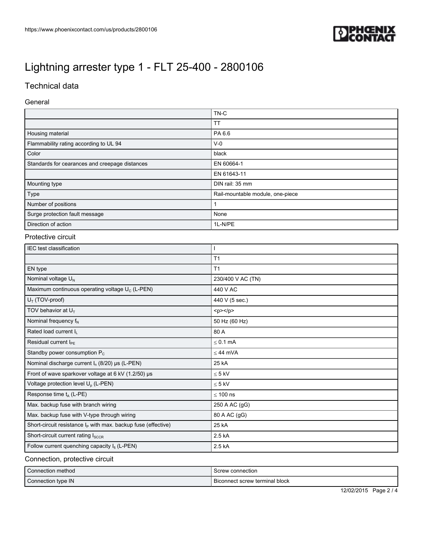

# Technical data

#### General

|                                                                  | TN-C                             |
|------------------------------------------------------------------|----------------------------------|
|                                                                  | <b>TT</b>                        |
| Housing material                                                 | PA 6.6                           |
| Flammability rating according to UL 94                           | $V-0$                            |
| Color                                                            | black                            |
| Standards for cearances and creepage distances                   | EN 60664-1                       |
|                                                                  | EN 61643-11                      |
| Mounting type                                                    | DIN rail: 35 mm                  |
| <b>Type</b>                                                      | Rail-mountable module, one-piece |
| Number of positions                                              | $\mathbf{1}$                     |
| Surge protection fault message                                   | None                             |
| Direction of action                                              | 1L-N/PE                          |
| Protective circuit                                               |                                  |
| <b>IEC</b> test classification                                   | ı                                |
|                                                                  | T <sub>1</sub>                   |
| EN type                                                          | T <sub>1</sub>                   |
| Nominal voltage U <sub>N</sub>                                   | 230/400 V AC (TN)                |
| Maximum continuous operating voltage U <sub>c</sub> (L-PEN)      | 440 V AC                         |
| $U_T$ (TOV-proof)                                                | 440 V (5 sec.)                   |
| TOV behavior at $U_T$                                            | <p><p><p></p></p></p>            |
| Nominal frequency $f_N$                                          | 50 Hz (60 Hz)                    |
| Rated load current I <sub>I</sub>                                | 80 A                             |
| Residual current I <sub>PE</sub>                                 | $\leq$ 0.1 mA                    |
| Standby power consumption P <sub>c</sub>                         | $\leq$ 44 mVA                    |
| Nominal discharge current I <sub>n</sub> (8/20) µs (L-PEN)       | 25 kA                            |
| Front of wave sparkover voltage at 6 kV (1.2/50) µs              | $\leq 5$ kV                      |
| Voltage protection level U <sub>p</sub> (L-PEN)                  | $\leq 5$ kV                      |
| Response time $t_A$ (L-PE)                                       | $\leq 100$ ns                    |
| Max. backup fuse with branch wiring                              | 250 A AC (gG)                    |
| Max. backup fuse with V-type through wiring                      | 80 A AC (gG)                     |
| Short-circuit resistance $I_P$ with max. backup fuse (effective) | 25 kA                            |
| Short-circuit current rating IsccR                               | 2.5 kA                           |
| Follow current quenching capacity $I_f$ (L-PEN)                  | 2.5 kA                           |

### Connection, protective circuit

| Connection method  | Screw connection               |
|--------------------|--------------------------------|
| Connection type IN | Biconnect screw terminal block |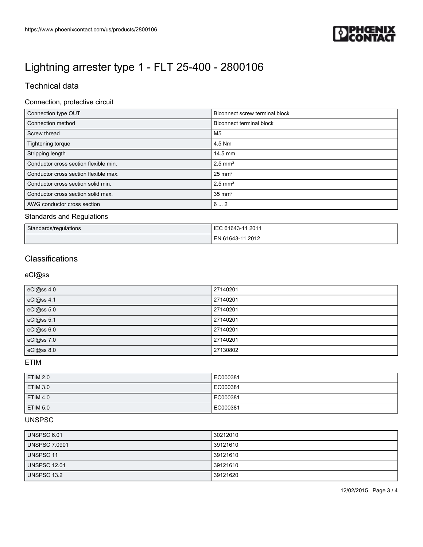

# Technical data

#### Connection, protective circuit

| Connection type OUT                   | Biconnect screw terminal block  |
|---------------------------------------|---------------------------------|
| Connection method                     | <b>Biconnect terminal block</b> |
| Screw thread                          | M <sub>5</sub>                  |
| Tightening torque                     | 4.5 Nm                          |
| Stripping length                      | 14.5 mm                         |
| Conductor cross section flexible min. | $2.5$ mm <sup>2</sup>           |
| Conductor cross section flexible max. | $25 \text{ mm}^2$               |
| Conductor cross section solid min.    | $2.5$ mm <sup>2</sup>           |
| Conductor cross section solid max.    | $35 \text{ mm}^2$               |
| AWG conductor cross section           | 62                              |

### Standards and Regulations

| Standards/regulations | l IEC 61643-11 2011 |
|-----------------------|---------------------|
|                       | EN 61643-11 2012    |

## **Classifications**

eCl@ss

| eCl@ss 4.0 | 27140201 |
|------------|----------|
| eCl@ss 4.1 | 27140201 |
| eCl@ss 5.0 | 27140201 |
| eCl@ss 5.1 | 27140201 |
| eCl@ss 6.0 | 27140201 |
| eCl@ss 7.0 | 27140201 |
| eCl@ss 8.0 | 27130802 |

ETIM

| ETIM 2.0        | EC000381 |
|-----------------|----------|
| <b>ETIM 3.0</b> | EC000381 |
| ETIM 4.0        | EC000381 |
| ETIM 5.0        | EC000381 |

### UNSPSC

| UNSPSC 6.01         | 30212010 |
|---------------------|----------|
| UNSPSC 7.0901       | 39121610 |
| <b>UNSPSC 11</b>    | 39121610 |
| <b>UNSPSC 12.01</b> | 39121610 |
| UNSPSC 13.2         | 39121620 |